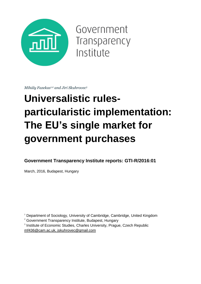

Government Transparency Institute

*Mihály Fazekas1,2 and Jiri Skuhrovec<sup>3</sup>*

# **Universalistic rulesparticularistic implementation: The EU's single market for government purchases**

**Government Transparency Institute reports: GTI-R/2016:01**

March, 2016, Budapest, Hungary

<sup>1</sup> Department of Sociology, University of Cambridge, Cambridge, United Kingdom

<sup>2</sup> Government Transparency Institute, Budapest, Hungary

<sup>3</sup> Institute of Economic Studies, Charles University, Prague, Czech Republic [mf436@cam.ac.uk,](mailto:mf436@cam.ac.uk) [jskuhrovec@gmail.com](mailto:jskuhrovec@gmail.com)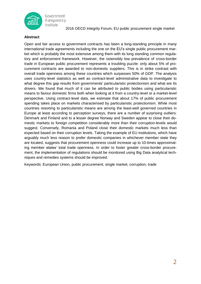

Government Transparency Institute

2016 OECD Integrity Forum, EU public procurement single market

#### **Abstract**

Open and fair access to government contracts has been a long-standing principle in many international trade agreements including the one on the EU's single public procurement market which is probably the most extensive among them with its long standing common regulatory and enforcement framework. However, the ostensibly low prevalence of cross-border trade in European public procurement represents a troubling puzzle: only about 5% of procurement contracts are awarded to non-domestic suppliers. This is in strike contrast with overall trade openness among these countries which surpasses 50% of GDP. The analysis uses country-level statistics as well as contract-level administrative data to investigate to what degree this gap results from governments' particularistic protectionism and what are its drivers. We found that much of it can be attributed to public bodies using particularistic means to favour domestic firms both when looking at it from a country-level or a market-level perspective. Using contract-level data, we estimate that about 17% of public procurement spending takes place on markets characterised by particularistic protectionism. While most countries resorting to particularistic means are among the least-well governed countries in Europe at least according to perception surveys, there are a number of surprising outliers: Denmark and Finland and to a lesser degree Norway and Sweden appear to close their domestic markets to foreign competition considerably more than their corruption-levels would suggest. Conversely, Romania and Poland close their domestic markets much less than expected based on their corruption levels. Taking the example of EU institutions, which have arguably much less reason to prefer domestic companies in whichever member state they are located, suggests that procurement openness could increase up to 10-times approximating member states' total trade openness. In order to foster greater cross-border procurement, the implementation of regulations should be monitored using Big Data analytical techniques and remedies systems should be improved.

Keywords: European Union, public procurement, single market, corruption, trade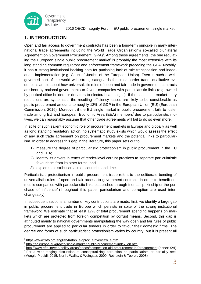

### **1. INTRODUCTION**

Open and fair access to government contracts has been a long-term principle in many international trade agreements including the World Trade Organisation's so-called plurilateral Agreement on Government Procurement (GPA)<sup>1</sup>. Among these agreements, the one regulating the European single public procurement market<sup>2</sup> is probably the most extensive with its long standing common regulatory and enforcement framework preceding the GPA. Notably, it has a strong institutional backing both for punishing lack of rule transposition and inadequate implementation (e.g. Court of Justice of the European Union). Even in such a wellgoverned part of the world with strong safeguards for cross-border trade, qualitative evidence is ample about how universalistic rules of open and fair trade in government contracts are bent by national governments to favour companies with particularistic links (e.g. owned by political office-holders or donators to electoral campaigns). If the suspected market entry restrictions are systematic, the resulting efficiency losses are likely to be considerable as public procurement amounts to roughly 13% of GDP in the European Union (EU) (European Commission, 2016). Moreover, if the EU single market in public procurement fails to foster trade among EU and European Economic Area (EEA) members<sup>3</sup> due to particularistic motives, we can reasonably assume that other trade agreements will fail to do so even more.

In spite of such salient economic role of procurement markets in Europe and globally as well as long standing regulatory action, no systematic study exists which would assess the effect of any such trade agreement on procurement markets and the potential links to particularism. In order to address this gap in the literature, this paper sets out to

- 1) measure the degree of particularistic protectionism in public procurement in the EU and EEA;
- 2) identify its drivers in terms of tender-level corrupt practices to separate particularistic favouritism from its other forms; and
- 3) explore its distribution across countries and time.

Particularistic protectionism in public procurement trade refers to the deliberate bending of universalistic rules of open and fair access to government contracts in order to benefit domestic companies with particularistic links established through friendship, kinship or the purchase of influence<sup>4</sup> (throughout this paper particularism and corruption are used interchangeably).

In subsequent sections a number of key contributions are made: first, we identify a large gap in public procurement trade in Europe which persists in spite of the strong institutional framework. We estimate that at least 17% of total procurement spending happens on markets which are protected from foreign competition by corrupt means. Second, this gap is attributed mainly to national governments manipulating the way open and fair rules of public procurement are applied to particular tenders in order to favour their domestic firms. The degree and forms of such particularistic protectionism varies by country, but it is present all

-

<sup>1</sup> [https://www.wto.org/english/tratop\\_e/gproc\\_e/overview\\_e.htm](https://www.wto.org/english/tratop_e/gproc_e/overview_e.htm)

<sup>2</sup> [http://ec.europa.eu/growth/single-market/public-procurement/index\\_en.htm](http://ec.europa.eu/growth/single-market/public-procurement/index_en.htm) 3

<http://www.efta.int/eea/policy-areas/goods/competition-aid-procurement-ipr/procurement> (annex XVI) 4 For a wide-ranging discussion of conceptualizing corruption as particularism or partiality see: (Mungiu-Pippidi, 2015; North, Wallis, & Weingast, 2009; Rothstein & Teorell, 2008)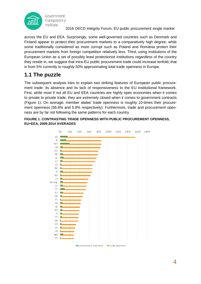

across the EU and EEA. Surprisingly, some well-governed countries such as Denmark and Finland appear to protect their procurement markets to a comparatively high degree; while some traditionally considered as more corrupt such as Poland and Romania protect their procurement markets from foreign competition relatively less. Third, using institutions of the European Union as a set of possibly least protectionist institutions regardless of the country they reside in, we suggest that intra-EU public procurement trade could increase tenfold, that is from 5% currently to roughly 50% approximating total trade openness in Europe.

# **1.1 The puzzle**

The subsequent analysis tries to explain two striking features of European public procurement trade: its absence and its lack of responsiveness to the EU institutional framework. First, while most if not all EU and EEA countries are highly open economies when it comes to private to private trade, they are extremely closed when it comes to government contracts [\(Figure](#page-3-0) 1). On average, member states' trade openness is roughly 10-times their procurement openness (56.6% and 5.9% respectively). Furthermore, trade and procurement openness are by far not following the same patterns for each country.

<span id="page-3-0"></span>

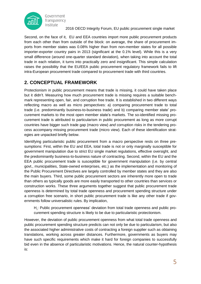

Second, on the face of it, EU and EEA countries import more public procurement products from each other than from outside of the block: on average, the share of procurement imports from member states was 0.08% higher than from non-member states for all possible importer-exporter country pairs in 2013 (significant at the 0.1% level). While this is a very small difference (around one-quarter standard deviation), when taking into account the total trade in each relation, it turns into practically zero and insignificant. This simple calculation raises the possibility that the EU/EEA public procurement regulatory framework fails to lift intra-European procurement trade compared to procurement trade with third countries.

## **2. CONCEPTUAL FRAMEWORK**

Protectionism in public procurement means that trade is missing, it could have taken place but it didn't. Measuring how much procurement trade is missing requires a suitable benchmark representing open, fair, and corruption free trade. It is established in two different ways reflecting macro as well as micro perspectives: a) comparing procurement trade to total trade (i.e. predominantly business-to-business trade) and b) comparing member state' procurement markets to the most open member state's markets. The so-identified missing procurement trade is attributed to particularism in public procurement as long as more corrupt countries have bigger such trade gap (macro view) *and* corruption risks in the tendering process accompany missing procurement trade (micro view). Each of these identification strategies are unpacked briefly below.

Identifying particularistic public procurement from a macro perspective rests on three presumptions: First, within the EU and EEA, total trade is not or only marginally susceptible for government manipulation due to strict EU single market regulations, effective oversight, and the predominantly business-to-business nature of contracting. Second, within the EU and the EEA public procurement trade is susceptible for government manipulation (i.e. by central govt., municipalities, State-owned enterprises, etc.) as the implementation and monitoring of the Public Procurement Directives are largely controlled by member states and they are also the main buyers. Third, some public procurement sectors are inherently more open to trade than others as typically goods are more easily transported to other countries than services or construction works. These three arguments together suggest that public procurement trade openness is determined by total trade openness and procurement spending structure under a corruption free scenario, in short public procurement trade is like any other trade if governments follow universalistic rules. By implication,

H<sub>1</sub>: Public procurement openness' deviation from total trade openness and public procurement spending structure is likely to be due to particularistic protectionism.

However, the deviation of public procurement openness from what total trade openness and public procurement spending structure predicts can not only be due to particularism, but also the associated higher administrative costs of contracting a foreign supplier such as obtaining translations, working across greater distances. Furthermore, governments as buyers may have such specific requirements which make it hard for foreign companies to successfully bid even in the absence of particularistic motivations. Hence, the natural counter-hypothesis is: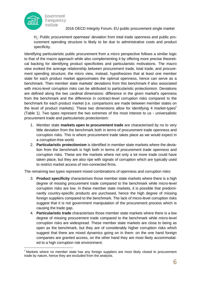

 $H<sub>2</sub>$ : Public procurement openness' deviation from total trade openness and public procurement spending structure is likely to be due to administrative costs and product specificity.

Identifying particularistic public procurement from a micro perspective follows a similar logic to that of the macro approach while also complementing it by offering more precise theoretical backing for identifying product specificities and particularistic motivations. The macro view evoked the average relationship between procurement trade, total trade, and procurement spending structure; the micro view, instead, hypothesizes that at least one member state for each product market approximates the optimal openness, hence can serve as a benchmark. Then member state markets' deviations from this benchmark if also associated with micro-level corruption risks can be attributed to particularistic protectionism. Deviations are defined along the two cardinal dimensions: difference in the given market's openness from the benchmark and the difference in contract-level corruption risks compared to the benchmark for each product market (i.e. comparisons are made between member states on the level of product markets). These two dimensions allow for identifying 4 market-types $5$ [\(Table](#page-6-0) 1). Two types represent the two extremes of the most interest to us - universalistic procurement trade and particularistic protectionism:

- 1. Member state **markets open to procurement trade** are characterised by no to very little deviation from the benchmark both in terms of procurement trade openness and corruption risks. This is where procurement trade takes place as we would expect in a corruption-free world.
- 2. **Particularistic protectionism** is identified in member state markets where the deviation from the benchmark is high both in terms of procurement trade openness and corruption risks. These are the markets where not only a lot more trade could have taken place, but they are also ripe with signals of corruption which are typically used to restrict market access of non-connected firms.

The remaining two types represent mixed combinations of openness and corruption risks:

- 3. **Product specificity** characterises those member state markets where there is a high degree of missing procurement trade compared to the benchmark while micro-level corruption risks are low. In these member state markets, it is possible that predominantly country-specific products are purchased, hence the high degree of missing foreign suppliers compared to the benchmark. The lack of micro-level corruption risks suggest that it is not government manipulation of the procurement process which is causing the trade gap.
- 4. **Particularistic trade** characterises those member state markets where there is a low degree of missing procurement trade compared to the benchmark while micro-level corruption risks are widespread. These member state markets are close to being as open as the benchmark, but they are of considerably higher corruption risks which suggest that there are mixed dynamics going on in them: on the one hand foreign companies are granted access, on the other hand they are most likely accommodated to a high corruption risk environment.

<sup>-</sup><sup>5</sup> Markets where no member state has any foreign suppliers are most likely closed to procurement trade by nature, hence they are excluded from the analysis.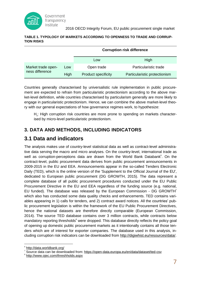

#### <span id="page-6-0"></span>**TABLE 1. TYPOLOGY OF MARKETS ACCORDING TO OPENNESS TO TRADE AND CORRUP-TION RISKS**

|                                       |      | <b>Corruption risk difference</b> |                               |  |
|---------------------------------------|------|-----------------------------------|-------------------------------|--|
|                                       |      | Low                               | High                          |  |
| Market trade open-<br>ness difference | Low  | Open trade                        | Particularistic trade         |  |
|                                       | High | <b>Product specificity</b>        | Particularistic protectionism |  |

Countries generally characterised by universalistic rule implementation in public procurement are expected to refrain from particularistic protectionism according to the above market-level definition, while countries characterised by particularism generally are more likely to engage in particularistic protectionism. Hence, we can combine the above market-level theory with our general expectations of how governance regimes work, to hypothesize:

H<sub>3</sub>: High corruption risk countries are more prone to spending on markets characterised by micro-level particularistic protectionism.

### **3. DATA AND METHODS, INCLUDING INDICATORS**

### **3.1 Data and indicators**

The analysis makes use of country-level statistical data as well as contract-level administrative data serving the macro and micro analyses. On the country-level, international trade as well as corruption-perceptions data are drawn from the World Bank Databank<sup>6</sup>. On the contract-level, public procurement data derives from public procurement announcements in 2009-2015 in the EU and EEA. Announcements appear in the so-called Tenders Electronic Daily (TED), which is the online version of the 'Supplement to the Official Journal of the EU', dedicated to European public procurement (DG GROWTH, 2015). The data represent a complete database of all public procurement procedures conducted under the EU Public Procurement Directive in the EU and EEA regardless of the funding source (e.g. national, EU funded). The database was released by the European Commission - DG GROWTH<sup>7</sup> which also has conducted some data quality checks and enhancements. TED contains variables appearing in 1) calls for tenders, and 2) contract award notices. All the countries' public procurement legislation is within the framework of the EU Public Procurement Directives, hence the national datasets are therefore directly comparable (European Commission, 2014). The source TED database contains over 3 million contracts, while contracts below mandatory reporting thresholds<sup>8</sup> were dropped. This database directly reflects the policy goal of opening up domestic public procurement markets as it intentionally contains all those tenders which are of interest for exporter companies. The database used in this analysis, including corruption risk indicators can be downloaded from [http://digiwhist.eu/resources/data/.](http://digiwhist.eu/resources/data/)

<sup>6</sup> <http://data.worldbank.org/>

<sup>&</sup>lt;sup>7</sup> Source data can be downloaded from: <https://open-data.europa.eu/en/data/dataset/ted-csv>

<sup>&</sup>lt;sup>8</sup> <http://www.ojec.com/threshholds.aspx>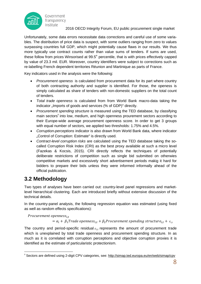

Unfortunately, some data errors necessitate data corrections and careful use of some variables. The distribution of price data is suspect, with some outliers ranging from zero to values surpassing countries full GDP, which might potentially cause flaws in our results. We thus more typically use contract counts rather than value sums of tenders. If sums are used, these follow from prices Winsorised at 99.5<sup>th</sup> percentile, that is with prices effectively capped by value of 23.3 mil. EUR. Moreover, country identifiers were subject to corrections such as re-labelling French dependent territories Réunion and Martinique as parts of France.

Key indicators used in the analysis were the following:

- *Procurement openess* is calculated from procurement data for its part where country of both contracting authority and supplier is identified. For those, the openess is simply calculated as share of tenders with non-domestic suppliers on the total count of tenders.
- *Total trade openness* is calculated from from World Bank macro-data taking the indicator "Imports of goods and services (% of GDP)" directly.
- *Procurement spending structure* is measured using the TED database, by classifying main sectors<sup>9</sup> into low, medium, and high openness prourement sectors according to their Europe-wide average procurement openness score. In order to get 3 groups with equal number of sectors, we applied two thresholds: 1.75% and 4.5%.
- *Corruption-perceptions* indicator is also drawn from World Bank data, where indicator . Control of Corruption: Estimate" is directly used.
- *Contract-level corruption risks* are calculated using the TED database taking the socalled Corruption Risk Index (CRI) as the best proxy available at such a micro level (Fazekas & Kocsis, 2015). CRI directly reflects the techniques of potentially deliberate restrictions of competition such as single bid submitted on otherwies competitive markets and excessively short advertisement periods makig it hard for bidders to prepare their bids unless they were informed informally ahead of the official publication.

### **3.2 Methodology**

Two types of analyses have been carried out: country-level panel regressions and marketlevel hierarchical clustering. Each are introduced briefly without extensive discussion of the technical details.

In the country-panel analysis, the following regression equation was estimated (using fixed as well as random effects specifications):

Procurement openness<sub>it</sub>

 $= \alpha_i + \beta_1$ Trade openness<sub>i,t</sub> +  $\beta_2$ Procurement spending structure<sub>i,t</sub> +  $\varepsilon_{i,t}$ 

The country and period-specific residual  $\varepsilon_{i,t}$  represents the amount of procurement trade which is unexplained by total trade openness and procurement spending structure. In as much as it is correlated with corruption perceptions and objective corruption proxies it is identified as the estimate of particularistic protectionism.

<sup>9</sup> Sectors are defined using 2-digit CPV categories, see: <http://simap.ted.europa.eu/en/web/simap/cpv>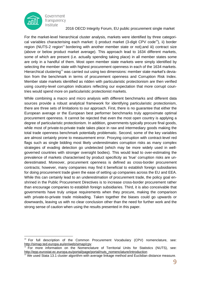

For the market-level hierarchical cluster analysis, markets were identified by three categorical variables characterising each market: i) product market (3-digit CPV code<sup>10</sup>), ii) border region (NUTS-2 region<sup>11</sup> bordering with another member state or not); and iii) contract size (above or below product market average). This approach lead to 1634 different markets, some of which are present (i.e. actually spending taking place) in all member states some are only in a handful of them. Most open member state markets were simply identified by selecting the member state with highest procurement openness in each of the 1634 markets. Hierarchical clustering<sup>12</sup> was carried out using two dimensions: member state market's deviation from the benchmark in terms of procurement openness and Corruption Risk Index. Member state markets identified as ridden with particularistic protectionism are then verified using country-level corruption indicators reflecting our expectation that more corrupt countries would spend more on particularistic protectionist markets.

While combining a macro and micro analysis with different benchmarks and different data sources provide a robust analytical framework for identifying particularistic protectionism, there are three sets of limitations to our approach. First, there is no guarantee that either the European average or the European best performer benchmarks truly approximate optimal procurement openness. It cannot be rejected that even the most open country is applying a degree of particularistic protectionism. In addition, governments typically procure final goods, while most of private-to-private trade takes place in raw and intermediary goods making the total trade openness benchmark potentially problematic. Second, some of the key variables are almost certainly prone to measurement error. Proxying corruption with contract-level red flags such as single bidding most likely underestimates corruption risks as many complex strategies of evading detection go undetected (which may be more widely used in wellgoverned countries with stronger oversight bodies). This would lead to over-estimating the prevalence of markets characterised by product specificity as 'true' corruption risks are underestimated. Moreover, procurement openness is defined as cross-border procurement contracts; however, many companies may find it beneficial to establish foreign subsidiaries for doing procurement trade given the ease of setting up companies across the EU and EEA. While this can certainly lead to an underestimation of procurement trade, the policy goal enshrined in the Public Procurement Directives is to increase cross-border procurement rather than encourage companies to establish foreign subsidiaries. Third, it is also conceivable that governments have truly unique requirements when they procure, making the comparison with private-to-private trade misleading. Taken together the biases could go upwards or downwards, leaving us with no clear conclusion other than the need for further work and the strong sense of caution when using the results presented in this paper.

<sup>-</sup><sup>10</sup> For full description of the Common Procurement Vocabulary (CPV) nomenclature, see: <http://simap.ted.europa.eu/en/web/simap/cpv>

<sup>11</sup> For more information on the Nomenclature of Territorial Units for Statistics (NUTS), see: [http://epp.eurostat.ec.europa.eu/portal/page/portal/nuts\\_nomenclature/introduction](http://epp.eurostat.ec.europa.eu/portal/page/portal/nuts_nomenclature/introduction)

 $12$  We used Stata 13.1 cluster algorithm with average linkage method and Euclidian distance measure.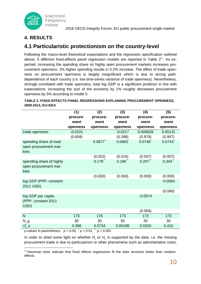

### **4. RESULTS**

## **4.1 Particularistic protectionism on the country-level**

Following the macro-level theoretical expectations and the regression specification outlined above, 5 different fixed-effects panel regression models are reported in [Table](#page-9-0)  $2^{13}$ . As expected, increasing the spending share on highly open procurement markets increases procurement openness: 1% higher spending results in 0.2% increase. The effect of trade openness on procurement openness is largely insignificant which is due to strong pathdependence of each country (i.e. low time-series variance of trade openness). Nevertheless, strongly correlated with trade openness, total log GDP is a significant predictor in line with expectations: increasing the size of the economy by 1% roughly decreases procurement openness by 5% according to model 5.

<span id="page-9-0"></span>**TABLE 2. FIXED-EFFECTS PANEL REGRESSIONS EXPLAINING PROCUREMENT OPENNESS, 2009-2014, EU+EEA (1) (2) (3) (4) (5)**

|                                                           | <u> 17</u>                  | (                      | $\mathbf{v}$           | $\mathbf{u}$ | $\mathbf{v}$           |
|-----------------------------------------------------------|-----------------------------|------------------------|------------------------|--------------|------------------------|
|                                                           | procure-                    | procure-               | procure-               | procure-     | procure-               |
|                                                           | ment                        | ment                   | ment                   | ment         | ment                   |
|                                                           | openness                    | openness               | openness               | openness     | openness               |
| trade openness                                            | $-0.0101$                   |                        | $-0.0217$              | 0.000628     | 0.00131                |
|                                                           | (0.659)                     |                        | (0.288)                | (0.979)      | (0.957)                |
| spending share of med.<br>open procurement mar-<br>kets   |                             | 0.0877                 | 0.0663                 | 0.0746       | 0.0743                 |
|                                                           |                             | (0.002)                | (0.016)                | (0.007)      | (0.007)                |
| spending share of highly<br>open procurement mar-<br>kets |                             | $0.179$ <sup>***</sup> | $0.196$ <sup>***</sup> | $0.207$ .    | $0.204$ <sup>***</sup> |
|                                                           |                             | (0.000)                | (0.000)                | (0.000)      | (0.000)                |
| log GDP (PPP, constant<br>2011 USD)                       |                             |                        |                        |              | $-0.0564$              |
|                                                           |                             |                        |                        |              | (0.090)                |
| log GDP per capita<br>(PPP, constant 2011<br>USD)         |                             |                        |                        | $-0.0574$    |                        |
|                                                           |                             |                        |                        | (0.064)      |                        |
| N                                                         | 173                         | 176                    | 173                    | 173          | 173                    |
| $N_g$                                                     | 30                          | 30                     | 30                     | 30           | 30                     |
| $r2_0$                                                    | 0.396                       | 0.0734                 | 0.00198                | 0.0320       | 0.410                  |
| italitaa in maxamilaanna                                  | $0.05$ $\rightarrow$ $0.04$ | $\sim$ 0.001           |                        |              |                        |

*p*-values in parentheses: \* *p* < 0.05, \*\* *p* < 0.01, \*\*\* *p* < 0.001

In order to shed some light on whether  $H_1$  or  $H_2$  is supported by the data, i.e. the missing procurement trade is due to particularism or other phenomena such as administrative costs,

<sup>-</sup><sup>13</sup> Hausman tests indicate that fixed effects regressions fit the data structure better than randomeffects.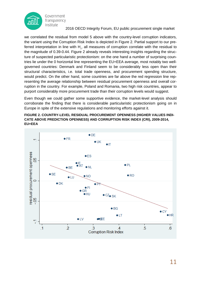

we correlated the residual from model 5 above with the country-level corruption indicators, the variant using the Corruption Risk Index is depicted in [Figure](#page-10-0) 2. Partial support to our preferred interpretation in line with H<sub>1</sub>, all measures of corruption correlate with the residual to the magnitude of 0.39-0.44. [Figure](#page-10-0) 2 already reveals interesting insights regarding the structure of suspected particularistic protectionism: on the one hand a number of surprising countries lie under the 0 horizontal line representing the EU+EEA average, most notably two wellgoverned countries: Denmark and Finland seem to be considerably less open than their structural characteristics, i.e. total trade openness, and procurement spending structure, would predict. On the other hand, some countries are far above the red regression line representing the average relationship between residual procurement openness and overall corruption in the country. For example, Poland and Romania, two high risk countries, appear to purport considerably more procurement trade than their corruption levels would suggest.

Even though we could gather some supportive evidence, the market-level analysis should corroborate the finding that there is considerable particularistic protectionism going on in Europe in spite of the extensive regulations and monitoring efforts against it.

#### <span id="page-10-0"></span>**FIGURE 2. COUNTRY-LEVEL RESIDUAL PROCUREMENT OPENNESS (HIGHER VALUES INDI-CATE ABOVE PREDICTION OPENNESS) AND CORRUPTION RISK INDEX (CRI), 2009-2014, EU+EEA**

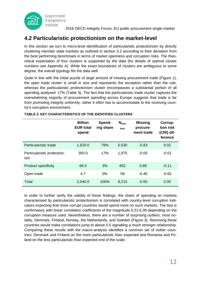

# **4.2 Particularistic protectionism on the market-level**

In this section we turn to micro-level identification of particularistic protectionism by directly clustering member state markets as outlined in section 3.2 according to their deviation from the best performing benchmark in terms of market openness and corruption risks. The theoretical expectation of four clusters is supported by the data (for details of optimal cluster numbers see Appendix A). While the exact boundaries of clusters are ambiguous to some degree, the overall typology fits the data well.

Quite in line with the initial puzzle of large amount of missing procurement trade [\(Figure](#page-3-0) 1), the open trade cluster is small in size and represents the exception rather than the rule, whereas the particularistic protectionism cluster encompasses a substantial portion of all spending analysed: 17% [\(Table](#page-11-0) 3). The fact that the particularistic trade cluster captures the overwhelming majority of procurement spending across Europe suggests that trade is far from promoting integrity uniformly, rather it often has to accommodate to the receiving country's corruption environment.

|                                    | <b>Billion</b><br><b>EUR total</b><br>spend | Spend-<br>ing share | $N_{\text{mar}}$<br>kets | <b>Missing</b><br>procure-<br>ment trade | Corrup-<br>tion risk<br>(CRI) dif-<br>ference |
|------------------------------------|---------------------------------------------|---------------------|--------------------------|------------------------------------------|-----------------------------------------------|
| Particularistic trade              | 1,620.0                                     | 79%                 | 5,530                    | $-0.83$                                  | 0.02                                          |
| Particularistic protection-<br>ism | 350.0                                       | 17%                 | 1,975                    | $-0.05$                                  | $-0.01$                                       |
| <b>Product specificity</b>         | 66.0                                        | 3%                  | 652                      | 0.89                                     | $-0.11$                                       |
| Open trade                         | 4.7                                         | 0%                  | 58                       | $-0.40$                                  | $-0.62$                                       |
| Total                              | 2,040.0                                     | 100%                | 8,215                    | $-0.50$                                  | 0.00                                          |

#### <span id="page-11-0"></span>**TABLE 3. KEY CHARACTERISTICS OF THE IDENTIFIED CLUSTERS**

In order to further verify the validity of these findings, the share of spending on markets characterised by particularistic protectionism is correlated with country-level corruption indicators expecting that more corrupt countries would spend more on such markets. The test is confirmatory with linear correlation coefficients of the magnitude 0.21-0.39 depending on the corruption measure used. Nevertheless, there are a number of surprising outliers, most notably, Denmark, Finland, Norway, the Netherlands, and Sweden [\(Figure](#page-12-0) 3). Removing these countries would make correlations jump to above 0.5 signalling a much stronger relationship. Comparing these results with the macro-analysis identifies a common set of outlier countries: Denmark and Finland on the more particularistic than expected and Romania and Poland on the less particularistic than expected end of the scale.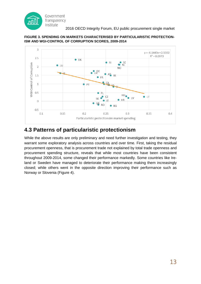



#### <span id="page-12-0"></span>**FIGURE 3. SPENDING ON MARKETS CHARACTERISED BY PARTICULARISTIC PROTECTION-ISM AND WGI-CONTROL OF CORRUPTION SCORES, 2009-2014**

# **4.3 Patterns of particularistic protectionism**

While the above results are only preliminary and need further investigation and testing, they warrant some exploratory analysis across countries and over time. First, taking the residual procurement openness, that is procurement trade not explained by total trade openness and procurement spending structure, reveals that while most countries have been consistent throughout 2009-2014, some changed their performance markedly. Some countries like Ireland or Sweden have managed to deteriorate their performance making them increasingly closed; while others went in the opposite direction improving their performance such as Norway or Slovenia [\(Figure](#page-13-0) 4).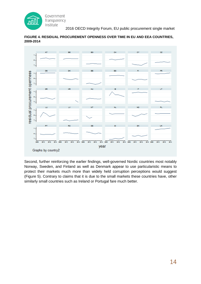



### <span id="page-13-0"></span>**FIGURE 4. RESIDUAL PROCUREMENT OPENNESS OVER TIME IN EU AND EEA COUNTRIES, 2009-2014**

Second, further reinforcing the earlier findings, well-governed Nordic countries most notably Norway, Sweden, and Finland as well as Denmark appear to use particularistic means to protect their markets much more than widely held corruption perceptions would suggest [\(Figure](#page-14-0) 5). Contrary to claims that it is due to the small markets these countries have, other similarly small countries such as Ireland or Portugal fare much better.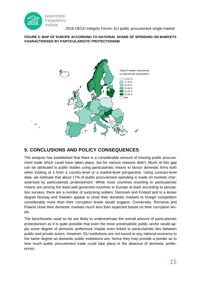

#### <span id="page-14-0"></span>**FIGURE 5. MAP OF EUROPE ACCORDING TO NATIONAL SHARE OF SPENDING ON MARKETS CHARACTERISED BY PARTICULARISTIC PROTECTIONISM**



### **5. CONCLUSIONS AND POLICY CONSEQUENCES**

The analysis has established that there is a considerable amount of missing public procurement trade which could have taken place, but for various reasons didn't. Much of this gap can be attributed to public bodies using particularistic means to favour domestic firms both when looking at it from a country-level or a market-level perspective. Using contract-level data, we estimate that about 17% of public procurement spending is made on markets characterised by particularistic protectionism. While most countries resorting to particularistic means are among the least-well governed countries in Europe at least according to perception surveys, there are a number of surprising outliers: Denmark and Finland and to a lesser degree Norway and Sweden appear to close their domestic markets to foreign competition considerably more than their corruption levels would suggest. Conversely, Romania and Poland close their domestic markets much less than expected based on their corruption levels.

The benchmarks used so far are likely to underestimate the overall amount of particularistic protectionism as it is quite possible that even the most universalistic public sector would apply some degree of domestic preference maybe even linked to particularistic ties between public and private actors. However, EU institutions are not bound to any national economy to the same degree as domestic public institutions are, hence they may provide a pointer as to how much public procurement trade could take place in the absence of domestic preferences.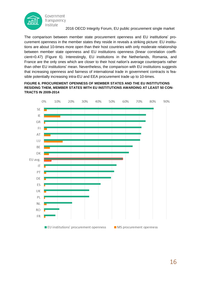

The comparison between member state procurement openness and EU institutions' procurement openness in the member states they reside in reveals a striking picture: EU institutions are about 10-times more open than their host countries with only moderate relationship between member state openness and EU institutions openness (linear correlation coefficient=0.47) [\(Figure](#page-15-0) 6). Interestingly, EU institutions in the Netherlands, Romania, and France are the only ones which are closer to their host nation's average counterparts rather than other EU institutions' mean. Nevertheless, the comparison with EU institutions suggests that increasing openness and fairness of international trade in government contracts is feasible potentially increasing intra-EU and EEA procurement trade up to 10-times.

#### <span id="page-15-0"></span>**FIGURE 6. PROCUREMENT OPENNESS OF MEMBER STATES AND THE EU INSTITUTIONS RESIDING THEM, MEMBER STATES WITH EU INSTITUTIONS AWARDING AT LEAST 50 CON-TRACTS IN 2009-2014**

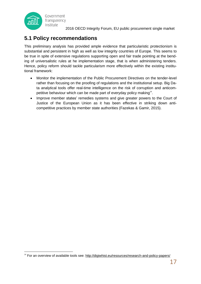

-

# **5.1 Policy recommendations**

This preliminary analysis has provided ample evidence that particularistic protectionism is substantial and persistent in high as well as low integrity countries of Europe. This seems to be true in spite of extensive regulations supporting open and fair trade pointing at the bending of universalistic rules at he implementation stage, that is when administering tenders. Hence, policy reform should tackle particularism more effectively within the existing institutional framework:

- Monitor the implementation of the Public Procurement Directives on the tender-level rather than focusing on the proofing of regulations and the institutional setup. Big Data analytical tools offer real-time intelligence on the risk of corruption and anticompetitive behaviour which can be made part of everyday policy making<sup>14</sup>.
- Improve member states' remedies systems and give greater powers to the Court of Justice of the European Union as it has been effective in striking down anticompetitive practices by member state authorities (Fazekas & Gamir, 2015).

<sup>&</sup>lt;sup>14</sup> For an overview of available tools see: <http://digiwhist.eu/resources/research-and-policy-papers/>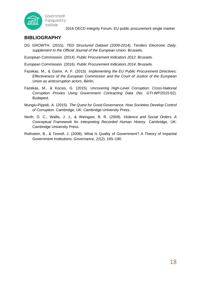

### **BIBLIOGRAPHY**

DG GROWTH. (2015). *TED Structured Dataset (2009-2014), Tenders Electronic Daily, supplement to the Official Journal of the European Union*. Brussels.

European Commission. (2014). *Public Procurement Indicators 2012*. Brussels.

European Commission. (2016). *Public Procurement Indicators 2014*. Brussels.

- Fazekas, M., & Gamir, A. F. (2015). *Implementing the EU Public Procurement Directives: Effectiveness of the European Commission and the Court of Justice of the European Union as anticorruption actors*. Berlin.
- Fazekas, M., & Kocsis, G. (2015). *Uncovering High-Level Corruption: Cross-National Corruption Proxies Using Government Contracting Data* (No. GTI-WP/2015:02). Budapest.
- Mungiu-Pippidi, A. (2015). *The Quest for Good Governance. How Societies Develop Control of Corruption*. Cambridge, UK: Cambridge University Press.
- North, D. C., Wallis, J. J., & Weingast, B. R. (2009). *Violence and Social Orders. A Conceptual Framework for Interpreting Recorded Human History*. Cambridge, UK: Cambridge University Press.
- Rothstein, B., & Teorell, J. (2008). What Is Quality of Government? A Theory of Impartial Government Institutions. *Governance*, *21*(2), 165–190.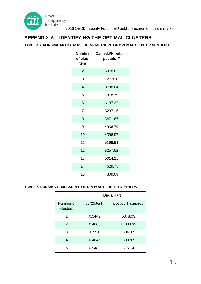

### **APPENDIX A – IDENTIFYING THE OPTIMAL CLUSTERS**

#### **TABLE 4. CALINSKI/HARABASZ PSEUDO-F MEASURE OF OPTIMAL CLUSTER NUMBERS**

| <b>Number</b><br>of clus-<br>ters | Calinski/Harabasz<br>pseudo-F |
|-----------------------------------|-------------------------------|
| $\overline{2}$                    | 6878.03                       |
| 3                                 | 12726.8                       |
| 4                                 | 8798.04                       |
| 5                                 | 7378.79                       |
| 6                                 | 6137.32                       |
| $\overline{7}$                    | 5237.16                       |
| 8                                 | 5471.67                       |
| 9                                 | 4936.79                       |
| 10                                | 4396.97                       |
| 11                                | 5199.94                       |
| 12                                | 5257.52                       |
| 13                                | 5014.21                       |
| 14                                | 4629.75                       |
| 15                                | 4309.09                       |

#### **TABLE 5. DUDA/HART MEASURES OF OPTIMAL CLUSTER NUMBERS**

|                       | Duda/Hart   |                  |  |
|-----------------------|-------------|------------------|--|
| Number of<br>clusters | Je(2)/Je(1) | pseudo T-squared |  |
| 1                     | 0.5442      | 6878.03          |  |
| $\mathcal{P}$         | 0.4066      | 11033.35         |  |
| 3                     | 0.951       | 304.37           |  |
| 4                     | 0.4847      | 690.97           |  |
| 5                     | 0.9489      | 316.74           |  |